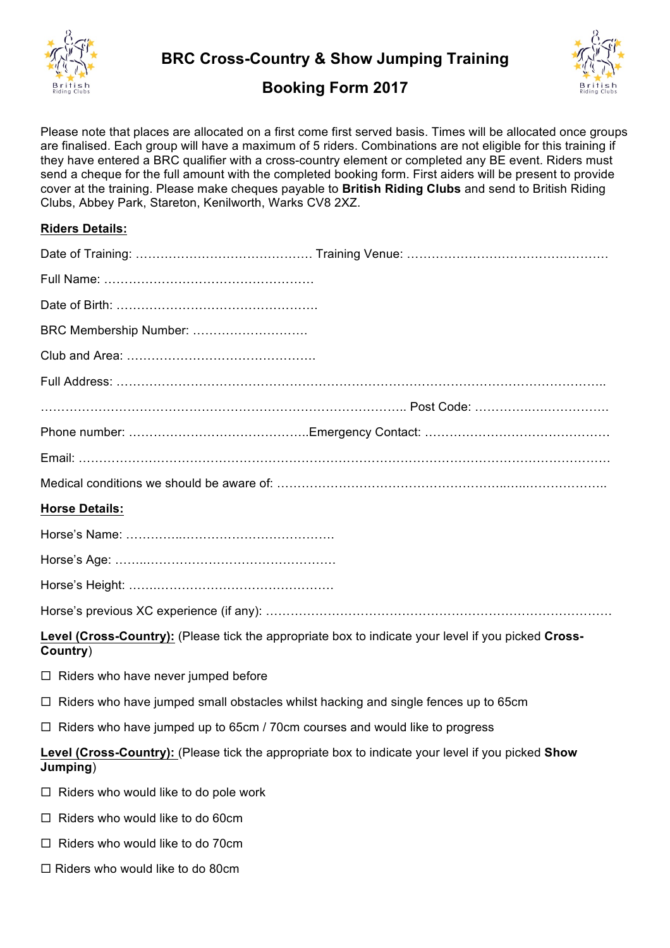

**BRC Cross-Country & Show Jumping Training**



## **Booking Form 2017**

Please note that places are allocated on a first come first served basis. Times will be allocated once groups are finalised. Each group will have a maximum of 5 riders. Combinations are not eligible for this training if they have entered a BRC qualifier with a cross-country element or completed any BE event. Riders must send a cheque for the full amount with the completed booking form. First aiders will be present to provide cover at the training. Please make cheques payable to **British Riding Clubs** and send to British Riding Clubs, Abbey Park, Stareton, Kenilworth, Warks CV8 2XZ.

## **Riders Details:**

 $\Box$  Riders who would like to do 80cm

| BRC Membership Number:                                                                                                 |
|------------------------------------------------------------------------------------------------------------------------|
|                                                                                                                        |
|                                                                                                                        |
|                                                                                                                        |
|                                                                                                                        |
|                                                                                                                        |
|                                                                                                                        |
| <b>Horse Details:</b>                                                                                                  |
|                                                                                                                        |
|                                                                                                                        |
|                                                                                                                        |
|                                                                                                                        |
| <b>Level (Cross-Country):</b> (Please tick the appropriate box to indicate your level if you picked Cross-<br>Country) |
| □ Riders who have never jumped before                                                                                  |
| $\Box$ Riders who have jumped small obstacles whilst hacking and single fences up to 65cm                              |
| $\Box$ Riders who have jumped up to 65cm / 70cm courses and would like to progress                                     |
| Level (Cross-Country): (Please tick the appropriate box to indicate your level if you picked Show<br>Jumping)          |
| $\Box$ Riders who would like to do pole work                                                                           |
| Riders who would like to do 60cm<br>ப                                                                                  |
| $\Box$ Riders who would like to do 70cm                                                                                |